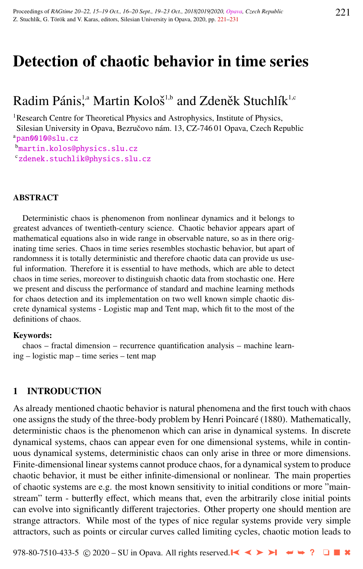# Detection of chaotic behavior in time series

## Radim Pánis,<sup>1,a</sup> Martin Kološ<sup>1,b</sup> and Zdeněk Stuchlík<sup>1,c</sup>

<sup>1</sup>Research Centre for Theoretical Physics and Astrophysics, Institute of Physics,

Silesian University in Opava, Bezručovo nám. 13, CZ-746 01 Opava, Czech Republic a[pan0010@slu.cz](http://www.physics.cz/ pan0010@slu.cz)

<sup>b</sup>[martin.kolos@physics.slu.cz](http://www.physics.cz/ martin.kolos@physics.slu.cz)

<sup>c</sup>[zdenek.stuchlik@physics.slu.cz](http://www.physics.cz/ zdenek.stuchlik@physics.slu.cz)

#### ABSTRACT

Deterministic chaos is phenomenon from nonlinear dynamics and it belongs to greatest advances of twentieth-century science. Chaotic behavior appears apart of mathematical equations also in wide range in observable nature, so as in there originating time series. Chaos in time series resembles stochastic behavior, but apart of randomness it is totally deterministic and therefore chaotic data can provide us useful information. Therefore it is essential to have methods, which are able to detect chaos in time series, moreover to distinguish chaotic data from stochastic one. Here we present and discuss the performance of standard and machine learning methods for chaos detection and its implementation on two well known simple chaotic discrete dynamical systems - Logistic map and Tent map, which fit to the most of the definitions of chaos.

#### Keywords:

chaos – fractal dimension – recurrence quantification analysis – machine learning – logistic map – time series – tent map

#### 1 INTRODUCTION

As already mentioned chaotic behavior is natural phenomena and the first touch with chaos one assigns the study of the three-body problem by Henri Poincaré (1880). Mathematically, deterministic chaos is the phenomenon which can arise in dynamical systems. In discrete dynamical systems, chaos can appear even for one dimensional systems, while in continuous dynamical systems, deterministic chaos can only arise in three or more dimensions. Finite-dimensional linear systems cannot produce chaos, for a dynamical system to produce chaotic behavior, it must be either infinite-dimensional or nonlinear. The main properties of chaotic systems are e.g. the most known sensitivity to initial conditions or more "mainstream" term - butterfly effect, which means that, even the arbitrarily close initial points can evolve into significantly different trajectories. Other property one should mention are strange attractors. While most of the types of nice regular systems provide very simple attractors, such as points or circular curves called limiting cycles, chaotic motion leads to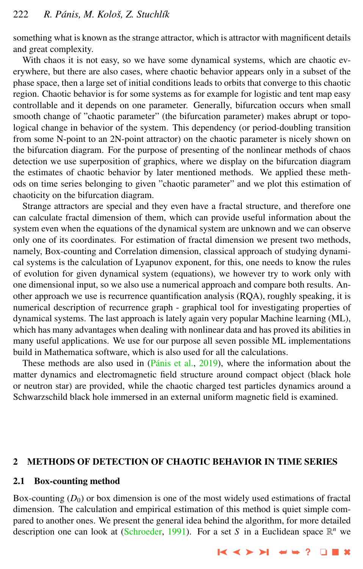<span id="page-1-0"></span>something what is known as the strange attractor, which is attractor with magnificent details and great complexity.

With chaos it is not easy, so we have some dynamical systems, which are chaotic everywhere, but there are also cases, where chaotic behavior appears only in a subset of the phase space, then a large set of initial conditions leads to orbits that converge to this chaotic region. Chaotic behavior is for some systems as for example for logistic and tent map easy controllable and it depends on one parameter. Generally, bifurcation occurs when small smooth change of "chaotic parameter" (the bifurcation parameter) makes abrupt or topological change in behavior of the system. This dependency (or period-doubling transition from some N-point to an 2N-point attractor) on the chaotic parameter is nicely shown on the bifurcation diagram. For the purpose of presenting of the nonlinear methods of chaos detection we use superposition of graphics, where we display on the bifurcation diagram the estimates of chaotic behavior by later mentioned methods. We applied these methods on time series belonging to given "chaotic parameter" and we plot this estimation of chaoticity on the bifurcation diagram.

Strange attractors are special and they even have a fractal structure, and therefore one can calculate fractal dimension of them, which can provide useful information about the system even when the equations of the dynamical system are unknown and we can observe only one of its coordinates. For estimation of fractal dimension we present two methods, namely, Box-counting and Correlation dimension, classical approach of studying dynamical systems is the calculation of Lyapunov exponent, for this, one needs to know the rules of evolution for given dynamical system (equations), we however try to work only with one dimensional input, so we also use a numerical approach and compare both results. Another approach we use is recurrence quantification analysis (RQA), roughly speaking, it is numerical description of recurrence graph - graphical tool for investigating properties of dynamical systems. The last approach is lately again very popular Machine learning (ML), which has many advantages when dealing with nonlinear data and has proved its abilities in many useful applications. We use for our purpose all seven possible ML implementations build in Mathematica software, which is also used for all the calculations.

These methods are also used in  $(Pánis et al., 2019)$  $(Pánis et al., 2019)$ , where the information about the matter dynamics and electromagnetic field structure around compact object (black hole or neutron star) are provided, while the chaotic charged test particles dynamics around a Schwarzschild black hole immersed in an external uniform magnetic field is examined.

#### 2 METHODS OF DETECTION OF CHAOTIC BEHAVIOR IN TIME SERIES

#### 2.1 Box-counting method

Box-counting  $(D_0)$  or box dimension is one of the most widely used estimations of fractal dimension. The calculation and empirical estimation of this method is quiet simple compared to another ones. We present the general idea behind the algorithm, for more detailed description one can look at [\(Schroeder,](#page-10-0) [1991\)](#page-10-0). For a set *S* in a Euclidean space  $\mathbb{R}^n$  we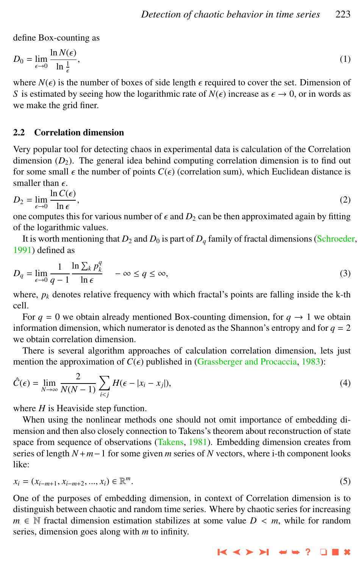<span id="page-2-0"></span>define Box-counting as

$$
D_0 = \lim_{\epsilon \to 0} \frac{\ln N(\epsilon)}{\ln \frac{1}{\epsilon}},\tag{1}
$$

where  $N(\epsilon)$  is the number of boxes of side length  $\epsilon$  required to cover the set. Dimension of S is estimated by seeing how the logarithmic rate of  $N(\epsilon)$  increase as  $\epsilon \to 0$ , or in words as *S* is estimated by seeing how the logarithmic rate of  $N(\epsilon)$  increase as  $\epsilon \to 0$ , or in words as we make the grid finer.

#### 2.2 Correlation dimension

Very popular tool for detecting chaos in experimental data is calculation of the Correlation dimension  $(D_2)$ . The general idea behind computing correlation dimension is to find out for some small  $\epsilon$  the number of points  $C(\epsilon)$  (correlation sum), which Euclidean distance is smaller than  $\epsilon$ .

$$
D_2 = \lim_{\epsilon \to 0} \frac{\ln C(\epsilon)}{\ln \epsilon},
$$
\n(2)

one computes this for various number of  $\epsilon$  and  $D_2$  can be then approximated again by fitting of the logarithmic values of the logarithmic values.

It is worth mentioning that  $D_2$  and  $D_0$  is part of  $D_q$  family of fractal dimensions [\(Schroeder,](#page-10-0) [1991\)](#page-10-0) defined as

$$
D_q = \lim_{\epsilon \to 0} \frac{1}{q-1} \frac{\ln \sum_k p_k^q}{\ln \epsilon} \quad -\infty \le q \le \infty,
$$
\n(3)

where,  $p_k$  denotes relative frequency with which fractal's points are falling inside the  $k$ -th cell.

For  $q = 0$  we obtain already mentioned Box-counting dimension, for  $q \to 1$  we obtain information dimension, which numerator is denoted as the Shannon's entropy and for  $q = 2$ we obtain correlation dimension.

There is several algorithm approaches of calculation correlation dimension, lets just mention the approximation of  $C(\epsilon)$  published in [\(Grassberger and Procaccia,](#page-10-0) [1983\)](#page-10-0):

$$
\hat{C}(\epsilon) = \lim_{N \to \infty} \frac{2}{N(N-1)} \sum_{i < j} H(\epsilon - |x_i - x_j|),\tag{4}
$$

where *H* is Heaviside step function.

When using the nonlinear methods one should not omit importance of embedding dimension and then also closely connection to Takens's theorem about reconstruction of state space from sequence of observations [\(Takens,](#page-10-0) [1981\)](#page-10-0). Embedding dimension creates from series of length *N*+*m*−1 for some given *m* series of *N* vectors, where i-th component looks like:

$$
x_i = (x_{i-m+1}, x_{i-m+2}, ..., x_i) \in \mathbb{R}^m.
$$
\n(5)

One of the purposes of embedding dimension, in context of Correlation dimension is to distinguish between chaotic and random time series. Where by chaotic series for increasing *m* ∈ N fractal dimension estimation stabilizes at some value *D* < *m*, while for random series, dimension goes along with *m* to infinity.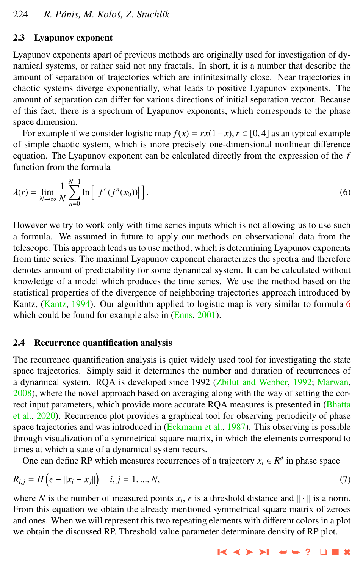#### <span id="page-3-0"></span>2.3 Lyapunov exponent

*N*−1

Lyapunov exponents apart of previous methods are originally used for investigation of dynamical systems, or rather said not any fractals. In short, it is a number that describe the amount of separation of trajectories which are infinitesimally close. Near trajectories in chaotic systems diverge exponentially, what leads to positive Lyapunov exponents. The amount of separation can differ for various directions of initial separation vector. Because of this fact, there is a spectrum of Lyapunov exponents, which corresponds to the phase space dimension.

For example if we consider logistic map  $f(x) = rx(1-x)$ ,  $r \in [0, 4]$  as an typical example of simple chaotic system, which is more precisely one-dimensional nonlinear difference equation. The Lyapunov exponent can be calculated directly from the expression of the *f* function from the formula

$$
\lambda(r) = \lim_{N \to \infty} \frac{1}{N} \sum_{n=0}^{N-1} \ln \left[ \left| f'(f^n(x_0)) \right| \right]. \tag{6}
$$

However we try to work only with time series inputs which is not allowing us to use such a formula. We assumed in future to apply our methods on observational data from the telescope. This approach leads us to use method, which is determining Lyapunov exponents from time series. The maximal Lyapunov exponent characterizes the spectra and therefore denotes amount of predictability for some dynamical system. It can be calculated without knowledge of a model which produces the time series. We use the method based on the statistical properties of the divergence of neighboring trajectories approach introduced by Kantz, [\(Kantz,](#page-10-0) [1994\)](#page-10-0). Our algorithm applied to logistic map is very similar to formula 6 which could be found for example also in [\(Enns,](#page-10-0) [2001\)](#page-10-0).

#### 2.4 Recurrence quantification analysis

The recurrence quantification analysis is quiet widely used tool for investigating the state space trajectories. Simply said it determines the number and duration of recurrences of a dynamical system. RQA is developed since 1992 [\(Zbilut and Webber,](#page-10-0) [1992;](#page-10-0) [Marwan,](#page-10-0) [2008\)](#page-10-0), where the novel approach based on averaging along with the way of setting the correct input parameters, which provide more accurate RQA measures is presented in [\(Bhatta](#page-10-0) [et al.,](#page-10-0) [2020\)](#page-10-0). Recurrence plot provides a graphical tool for observing periodicity of phase space trajectories and was introduced in [\(Eckmann et al.,](#page-10-0) [1987\)](#page-10-0). This observing is possible through visualization of a symmetrical square matrix, in which the elements correspond to times at which a state of a dynamical system recurs.

One can define RP which measures recurrences of a trajectory  $x_i \in \mathbb{R}^d$  in phase space

$$
R_{i,j} = H\left(\epsilon - ||x_i - x_j||\right) \quad i, j = 1, ..., N,
$$
\n(7)

where *N* is the number of measured points  $x_i$ ,  $\epsilon$  is a threshold distance and  $\|\cdot\|$  is a norm.<br>From this equation we obtain the already mentioned symmetrical square matrix of zeroes From this equation we obtain the already mentioned symmetrical square matrix of zeroes and ones. When we will represent this two repeating elements with different colors in a plot we obtain the discussed RP. Threshold value parameter determinate density of RP plot.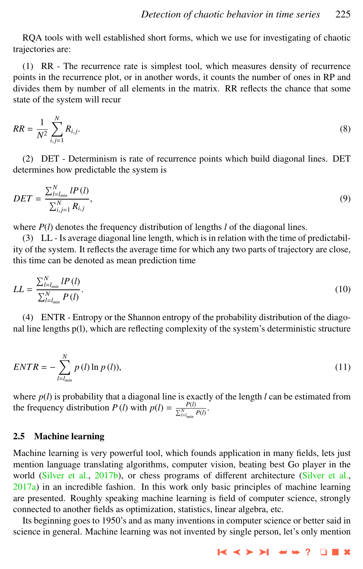<span id="page-4-0"></span>RQA tools with well established short forms, which we use for investigating of chaotic trajectories are:

(1) RR - The recurrence rate is simplest tool, which measures density of recurrence points in the recurrence plot, or in another words, it counts the number of ones in RP and divides them by number of all elements in the matrix. RR reflects the chance that some state of the system will recur

$$
RR = \frac{1}{N^2} \sum_{i,j=1}^{N} R_{i,j}.
$$
 (8)

(2) DET - Determinism is rate of recurrence points which build diagonal lines. DET determines how predictable the system is

$$
DET = \frac{\sum_{l=l_{min}}^{N} IP(l)}{\sum_{i,j=1}^{N} R_{i,j}},
$$
\n(9)

where *P*(*l*) denotes the frequency distribution of lengths *l* of the diagonal lines.

(3) LL - Is average diagonal line length, which is in relation with the time of predictability of the system. It reflects the average time for which any two parts of trajectory are close, this time can be denoted as mean prediction time

$$
LL = \frac{\sum_{l=l_{min}}^{N} l P(l)}{\sum_{l=l_{min}}^{N} P(l)}.
$$
\n(10)

(4) ENTR - Entropy or the Shannon entropy of the probability distribution of the diagonal line lengths p(l), which are reflecting complexity of the system's deterministic structure

$$
ENTR = -\sum_{l=l_{min}}^{N} p(l) \ln p(l),
$$
\n(11)

where *p*(*l*) is probability that a diagonal line is exactly of the length *l* can be estimated from the frequency distribution *P* (*l*) with  $p(l) = \frac{P(l)}{\sum_{l=lmin}^{N} P(l)}$ .

#### 2.5 Machine learning

Machine learning is very powerful tool, which founds application in many fields, lets just mention language translating algorithms, computer vision, beating best Go player in the world [\(Silver et al.,](#page-10-0) [2017b\)](#page-10-0), or chess programs of different architecture (Silver et al.,  $2017a$ ) in an incredible fashion. In this work only basic principles of machine learning are presented. Roughly speaking machine learning is field of computer science, strongly connected to another fields as optimization, statistics, linear algebra, etc.

Its beginning goes to 1950's and as many inventions in computer science or better said in science in general. Machine learning was not invented by single person, let's only mention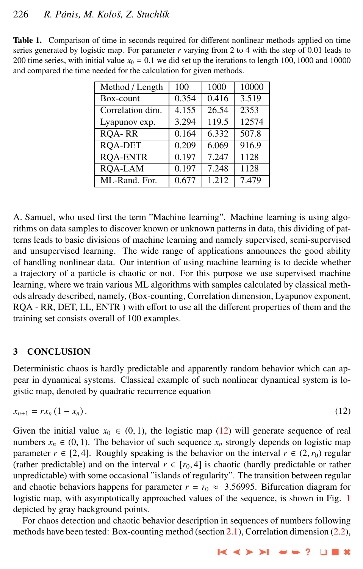#### <span id="page-5-0"></span>226 *R. P´anis, M. Koloˇs, Z. Stuchl´ık*

| Method / Length  | 100   | 1000                | 10000 |
|------------------|-------|---------------------|-------|
| Box-count        | 0.354 | 0.416               | 3.519 |
| Correlation dim. | 4.155 | 26.54               | 2353  |
| Lyapunov exp.    | 3.294 | 119.5               | 12574 |
| <b>ROA-RR</b>    | 0.164 | $\overline{6}$ .332 | 507.8 |
| <b>ROA-DET</b>   | 0.209 | 6.069               | 916.9 |
| <b>ROA-ENTR</b>  | 0.197 | 7.247               | 1128  |
| <b>ROA-LAM</b>   | 0.197 | 7.248               | 1128  |
| ML-Rand. For.    | 0.677 | 1.212               | 7.479 |

Table 1. Comparison of time in seconds required for different nonlinear methods applied on time series generated by logistic map. For parameter  $r$  varying from 2 to 4 with the step of 0.01 leads to 200 time series, with initial value  $x_0 = 0.1$  we did set up the iterations to length 100, 1000 and 10000 and compared the time needed for the calculation for given methods.

A. Samuel, who used first the term "Machine learning". Machine learning is using algorithms on data samples to discover known or unknown patterns in data, this dividing of patterns leads to basic divisions of machine learning and namely supervised, semi-supervised and unsupervised learning. The wide range of applications announces the good ability of handling nonlinear data. Our intention of using machine learning is to decide whether a trajectory of a particle is chaotic or not. For this purpose we use supervised machine learning, where we train various ML algorithms with samples calculated by classical methods already described, namely, (Box-counting, Correlation dimension, Lyapunov exponent, RQA - RR, DET, LL, ENTR ) with effort to use all the different properties of them and the training set consists overall of 100 examples.

#### 3 CONCLUSION

Deterministic chaos is hardly predictable and apparently random behavior which can appear in dynamical systems. Classical example of such nonlinear dynamical system is logistic map, denoted by quadratic recurrence equation

$$
x_{n+1} = rx_n (1 - x_n). \tag{12}
$$

Given the initial value  $x_0 \in (0, 1)$ , the logistic map (12) will generate sequence of real numbers  $x_n \in (0, 1)$ . The behavior of such sequence  $x_n$  strongly depends on logistic map parameter  $r \in [2, 4]$ . Roughly speaking is the behavior on the interval  $r \in (2, r_0)$  regular (rather predictable) and on the interval  $r \in [r_0, 4]$  is chaotic (hardly predictable or rather unpredictable) with some occasional "islands of regularity". The transition between regular and chaotic behaviors happens for parameter  $r = r_0 \approx 3.56995$ . Bifurcation diagram for logistic map, with asymptotically approached values of the sequence, is shown in Fig. [1](#page-6-0) depicted by gray background points.

For chaos detection and chaotic behavior description in sequences of numbers following methods have been tested: Box-counting method (section [2.1\)](#page-1-0), Correlation dimension [\(2.2\)](#page-2-0),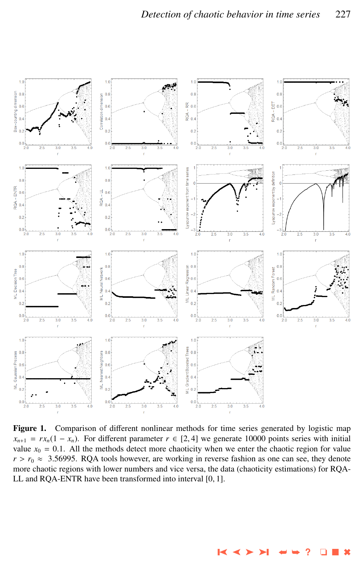<span id="page-6-0"></span>

Figure 1. Comparison of different nonlinear methods for time series generated by logistic map  $x_{n+1} = rx_n(1 - x_n)$ . For different parameter  $r \in [2, 4]$  we generate 10000 points series with initial value  $x_0 = 0.1$ . All the methods detect more chaoticity when we enter the chaotic region for value  $r > r_0 \approx 3.56995$ . RQA tools however, are working in reverse fashion as one can see, they denote more chaotic regions with lower numbers and vice versa, the data (chaoticity estimations) for RQA-LL and RQA-ENTR have been transformed into interval [0, 1].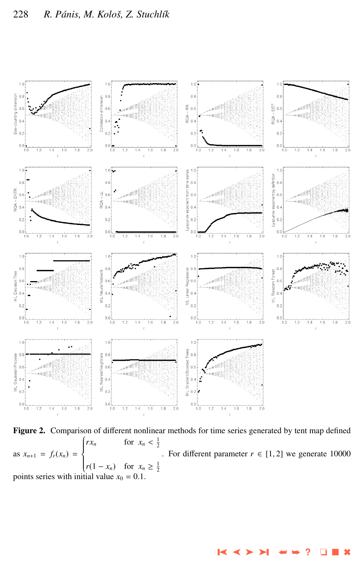<span id="page-7-0"></span>

Figure 2. Comparison of different nonlinear methods for time series generated by tent map defined as  $x_{n+1} = f_r(x_n) =$  $rx_n$  $\Big\}$  $r(1-x_n)$ *rx<sub>n</sub>* for  $x_n < \frac{1}{2}$  $r(1 - x_n)$  for  $x_n \geq \frac{1}{2}$ . For different parameter  $r \in [1, 2]$  we generate 10000 points series with initial value  $x_0 = 0.1$ .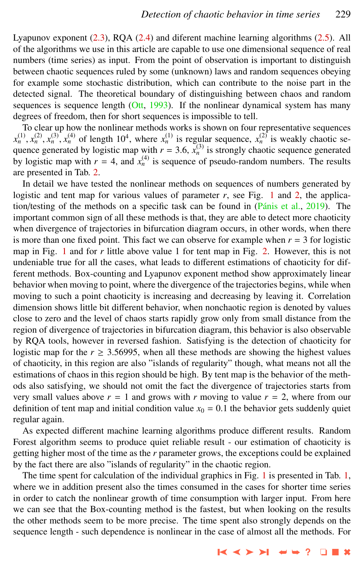Lyapunov exponent [\(2.3\)](#page-3-0), RQA [\(2.4\)](#page-3-0) and diferent machine learning algorithms [\(2.5\)](#page-4-0). All of the algorithms we use in this article are capable to use one dimensional sequence of real numbers (time series) as input. From the point of observation is important to distinguish between chaotic sequences ruled by some (unknown) laws and random sequences obeying for example some stochastic distribution, which can contribute to the noise part in the detected signal. The theoretical boundary of distinguishing between chaos and random sequences is sequence length  $(Ott, 1993)$  $(Ott, 1993)$  $(Ott, 1993)$ . If the nonlinear dynamical system has many degrees of freedom, then for short sequences is impossible to tell.

To clear up how the nonlinear methods works is shown on four representative sequences  $x_n^{(1)}$ ,  $x_n^{(2)}$ ,  $x_n^{(3)}$ ,  $x_n^{(4)}$  of length 10<sup>4</sup>, where  $x_n^{(1)}$  is regular sequence,  $x_n^{(2)}$  is weakly chaotic sequence  $x_n^{(3)}$  is strongly chaotic sequence generated quence generated by logistic map with  $r = 3.6$ ,  $\bar{x}_n^{(3)}$  is strongly chaotic sequence generated<br>by logistic map with  $r = 4$ , and  $x^{(4)}$  is sequence of pseudo-random numbers. The results by logistic map with  $r = 4$ , and  $x_n^{(4)}$  is sequence of pseudo-random numbers. The results are presented in Tab. [2.](#page-9-0)

In detail we have tested the nonlinear methods on sequences of numbers generated by logistic and tent map for various values of parameter *r*, see Fig. [1](#page-6-0) and [2,](#page-7-0) the application/testing of the methods on a specific task can be found in  $(Pánis et al., 2019)$  $(Pánis et al., 2019)$ . The important common sign of all these methods is that, they are able to detect more chaoticity when divergence of trajectories in bifurcation diagram occurs, in other words, when there is more than one fixed point. This fact we can observe for example when  $r = 3$  for logistic map in Fig. [1](#page-6-0) and for *r* little above value 1 for tent map in Fig. [2.](#page-7-0) However, this is not undeniable true for all the cases, what leads to different estimations of chaoticity for different methods. Box-counting and Lyapunov exponent method show approximately linear behavior when moving to point, where the divergence of the trajectories begins, while when moving to such a point chaoticity is increasing and decreasing by leaving it. Correlation dimension shows little bit different behavior, when nonchaotic region is denoted by values close to zero and the level of chaos starts rapidly grow only from small distance from the region of divergence of trajectories in bifurcation diagram, this behavior is also observable by RQA tools, however in reversed fashion. Satisfying is the detection of chaoticity for logistic map for the  $r \geq 3.56995$ , when all these methods are showing the highest values of chaoticity, in this region are also "islands of regularity" though, what means not all the estimations of chaos in this region should be high. By tent map is the behavior of the methods also satisfying, we should not omit the fact the divergence of trajectories starts from very small values above  $r = 1$  and grows with  $r$  moving to value  $r = 2$ , where from our definition of tent map and initial condition value  $x_0 = 0.1$  the behavior gets suddenly quiet regular again.

As expected different machine learning algorithms produce different results. Random Forest algorithm seems to produce quiet reliable result - our estimation of chaoticity is getting higher most of the time as the *r* parameter grows, the exceptions could be explained by the fact there are also "islands of regularity" in the chaotic region.

The time spent for calculation of the individual graphics in Fig. [1](#page-6-0) is presented in Tab. [1,](#page-5-0) where we in addition present also the times consumed in the cases for shorter time series in order to catch the nonlinear growth of time consumption with larger input. From here we can see that the Box-counting method is the fastest, but when looking on the results the other methods seem to be more precise. The time spent also strongly depends on the sequence length - such dependence is nonlinear in the case of almost all the methods. For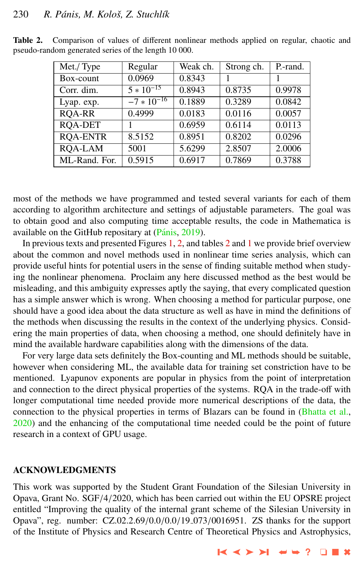| Met./Type       | Regular        | Weak ch. | Strong ch. | P.-rand. |
|-----------------|----------------|----------|------------|----------|
| Box-count       | 0.0969         | 0.8343   |            |          |
| Corr. dim.      | $5 * 10^{-15}$ | 0.8943   | 0.8735     | 0.9978   |
| Lyap. exp.      | $-7*10^{-16}$  | 0.1889   | 0.3289     | 0.0842   |
| <b>ROA-RR</b>   | 0.4999         | 0.0183   | 0.0116     | 0.0057   |
| <b>ROA-DET</b>  |                | 0.6959   | 0.6114     | 0.0113   |
| <b>RQA-ENTR</b> | 8.5152         | 0.8951   | 0.8202     | 0.0296   |
| <b>ROA-LAM</b>  | 5001           | 5.6299   | 2.8507     | 2.0006   |
| ML-Rand. For.   | 0.5915         | 0.6917   | 0.7869     | 0.3788   |

<span id="page-9-0"></span>Table 2. Comparison of values of different nonlinear methods applied on regular, chaotic and pseudo-random generated series of the length 10 000.

most of the methods we have programmed and tested several variants for each of them according to algorithm architecture and settings of adjustable parameters. The goal was to obtain good and also computing time acceptable results, the code in Mathematica is available on the GitHub repositary at (Pánis, [2019\)](#page-10-0).

In previous texts and presented Figures [1,](#page-6-0) [2,](#page-7-0) and tables 2 and [1](#page-5-0) we provide brief overview about the common and novel methods used in nonlinear time series analysis, which can provide useful hints for potential users in the sense of finding suitable method when studying the nonlinear phenomena. Proclaim any here discussed method as the best would be misleading, and this ambiguity expresses aptly the saying, that every complicated question has a simple answer which is wrong. When choosing a method for particular purpose, one should have a good idea about the data structure as well as have in mind the definitions of the methods when discussing the results in the context of the underlying physics. Considering the main properties of data, when choosing a method, one should definitely have in mind the available hardware capabilities along with the dimensions of the data.

For very large data sets definitely the Box-counting and ML methods should be suitable, however when considering ML, the available data for training set constriction have to be mentioned. Lyapunov exponents are popular in physics from the point of interpretation and connection to the direct physical properties of the systems. RQA in the trade-off with longer computational time needed provide more numerical descriptions of the data, the connection to the physical properties in terms of Blazars can be found in [\(Bhatta et al.,](#page-10-0) [2020\)](#page-10-0) and the enhancing of the computational time needed could be the point of future research in a context of GPU usage.

#### ACKNOWLEDGMENTS

This work was supported by the Student Grant Foundation of the Silesian University in Opava, Grant No. SGF/4/2020, which has been carried out within the EU OPSRE project entitled "Improving the quality of the internal grant scheme of the Silesian University in Opava", reg. number: CZ.02.2.69/0.0/0.0/<sup>19</sup> <sup>073</sup>/0016951. ZS thanks for the support of the Institute of Physics and Research Centre of Theoretical Physics and Astrophysics,